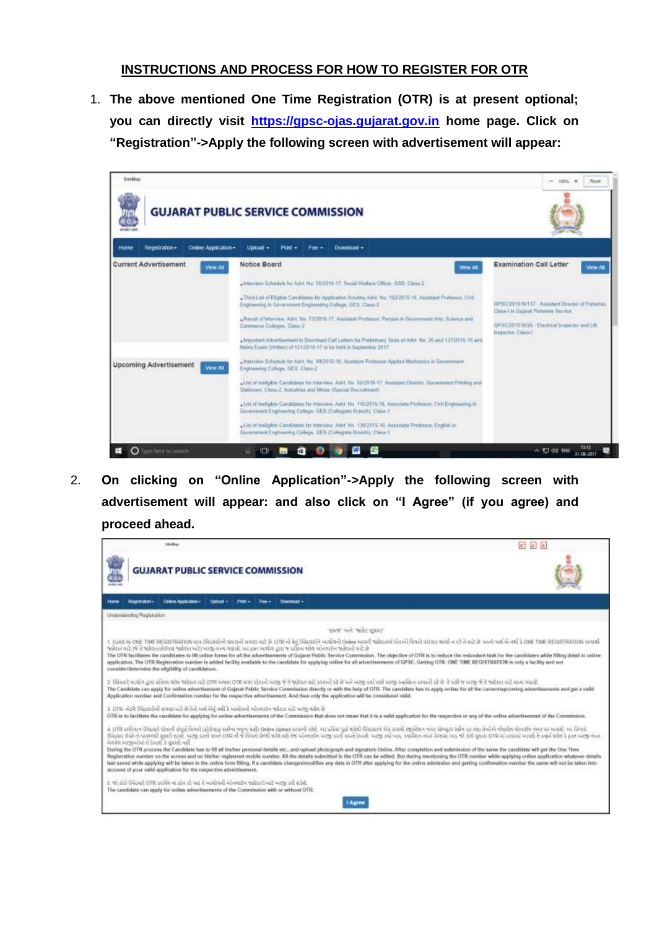## **INSTRUCTIONS AND PROCESS FOR HOW TO REGISTER FOR OTR**

1. **The above mentioned One Time Registration (OTR) is at present optional; you can directly visit [https://gpsc-ojas.gujarat.gov.in](https://gpsc-ojas.gujarat.gov.in/) home page. Click on "Registration"->Apply the following screen with advertisement will appear:**

| Download +<br>Hotte<br>Registration .<br>Online Application+<br>Print +<br>Fee +<br>Upload +<br>Notice Board<br><b>Current Advertisement</b><br><b>Examination Call Letter</b><br>View All<br><b>View All</b><br>" Interview Schedule for Advt. No. 55/2018-17. Social Welfare Officer, GSS. Class-2.<br>Third List of Elighte Candidates In Application Scrutiny Advt. No. 192/2015-16. Assessed Professor: Civil<br>Engineeing in Gmientment Engineering College, GES. Class 2<br>Class-1 in Gujarat Fisheries Service<br>"Result of Interview, Advt. No. 73/2016-17, Assistant Professor, Persian in Government Arts. Science and<br>Commune Colleges, Class-2<br>Inapochie, Classic<br>Hermited Advertisement to Desmittad Call Letters for Preliminary Texts of Advi. No. 26 and 137/2015-16 and<br>Mains Exem (Written) at \$21/2916-37 to be held in Ecotember 2017.<br>Heleniwa Schedule for Advt. No. 99/2013-10, Assistant Professor Applied Mochanics In Government.<br><b>Upcoming Advertisement</b><br>View All.<br>Engineering College, GES. Clays 2<br>"List of looksitie Canadakees for Imerities, Advt. No. 10/2010-17. Assistant Director: Government Printing and<br>Statistury, Class-2, Industries and Minus (Special Recruitment).<br>"List of instigible Candidates for Imerview. Advt. No. 115/2015-15. Associate Professor: Civil Engineering in<br><b>A STATE OF BUILDING</b> | <b>Grabbur</b> | <b>GUJARAT PUBLIC SERVICE COMMISSION</b>                         | Reset<br>$-100%$<br>٠                                                                               |
|---------------------------------------------------------------------------------------------------------------------------------------------------------------------------------------------------------------------------------------------------------------------------------------------------------------------------------------------------------------------------------------------------------------------------------------------------------------------------------------------------------------------------------------------------------------------------------------------------------------------------------------------------------------------------------------------------------------------------------------------------------------------------------------------------------------------------------------------------------------------------------------------------------------------------------------------------------------------------------------------------------------------------------------------------------------------------------------------------------------------------------------------------------------------------------------------------------------------------------------------------------------------------------------------------------------------------------------------------------------------------------------------------------|----------------|------------------------------------------------------------------|-----------------------------------------------------------------------------------------------------|
|                                                                                                                                                                                                                                                                                                                                                                                                                                                                                                                                                                                                                                                                                                                                                                                                                                                                                                                                                                                                                                                                                                                                                                                                                                                                                                                                                                                                         |                |                                                                  | View All                                                                                            |
|                                                                                                                                                                                                                                                                                                                                                                                                                                                                                                                                                                                                                                                                                                                                                                                                                                                                                                                                                                                                                                                                                                                                                                                                                                                                                                                                                                                                         |                |                                                                  | GPSC/2015167137 - Auslidant Director of Fisherles.<br>GPSC/201516/26 - Electrical Imperiar and Lift |
| "List of Ineligible Candidates for Imerview, Advt. No. 130/2015-16. Associate Professor, English in<br>Givestment Engineering College, GEB (Collegiate Branch), Class 1.                                                                                                                                                                                                                                                                                                                                                                                                                                                                                                                                                                                                                                                                                                                                                                                                                                                                                                                                                                                                                                                                                                                                                                                                                                |                | Government Engineering College, GES (Collegiate Branch), Class-1 |                                                                                                     |

2. **On clicking on "Online Application"->Apply the following screen with advertisement will appear: and also click on "I Agree" (if you agree) and proceed ahead.**

| <b>SAARJay</b>                                                                                              |                                                                                                                                                                                                                                                                                                                                                                                                                                                                                                                                                                                                                                                                                                                                                                                                                                                                                                                                                                                                                                                                                                                                                                                                                                                                                                                                                         | 居 国 區 |
|-------------------------------------------------------------------------------------------------------------|---------------------------------------------------------------------------------------------------------------------------------------------------------------------------------------------------------------------------------------------------------------------------------------------------------------------------------------------------------------------------------------------------------------------------------------------------------------------------------------------------------------------------------------------------------------------------------------------------------------------------------------------------------------------------------------------------------------------------------------------------------------------------------------------------------------------------------------------------------------------------------------------------------------------------------------------------------------------------------------------------------------------------------------------------------------------------------------------------------------------------------------------------------------------------------------------------------------------------------------------------------------------------------------------------------------------------------------------------------|-------|
|                                                                                                             | <b>GUJARAT PUBLIC SERVICE COMMISSION</b>                                                                                                                                                                                                                                                                                                                                                                                                                                                                                                                                                                                                                                                                                                                                                                                                                                                                                                                                                                                                                                                                                                                                                                                                                                                                                                                |       |
| Rogstraton-<br>Online Application -                                                                         | <b>Liniquet -</b><br><b>Exercised -</b>                                                                                                                                                                                                                                                                                                                                                                                                                                                                                                                                                                                                                                                                                                                                                                                                                                                                                                                                                                                                                                                                                                                                                                                                                                                                                                                 |       |
| Uniterstanding Registration                                                                                 |                                                                                                                                                                                                                                                                                                                                                                                                                                                                                                                                                                                                                                                                                                                                                                                                                                                                                                                                                                                                                                                                                                                                                                                                                                                                                                                                                         |       |
|                                                                                                             | THAN' AN' WAS ARM!"                                                                                                                                                                                                                                                                                                                                                                                                                                                                                                                                                                                                                                                                                                                                                                                                                                                                                                                                                                                                                                                                                                                                                                                                                                                                                                                                     |       |
| consideridetermine the eligibility of candidature.                                                          | જારેશન માટે છે તે જારેશનપ્રદેજિયા જારેશન માટે) અરજી માન્ય ચલાશે. આ ફાન આર્થર દ્વારા જ પ્રમિયા જોય અનેવતાને જારેશનો માટે છે<br>The OTR facilitates the condidates to fill online forms for all the advertisements of Gujarat Public Service Commission. The objective of OTR is to reduce the redundant task for the candidates while filling detail in order<br>application. The OTR Registration number is added facility available to the candidate for applying online for all adventsements of GPSC, Getting OTR. ONE TIME REGISTRATION is only a facility and not<br>2. ઉમેદવારે આવીગ દ્વારા પરિવ્ય થયેલ જોઇના માટે OTR અથવા OTR હંમર OTR હંમર વીરાની આજી આવે છે. આ આવે આ આવે આ એક આવે છે કે આવે છે. તે પછી જ આવા થઈ ગામ માટે આવે આવે આવે આવે આવે છે. આ ગામમાં<br>The Candidate can apply for online advertisement of Gajarat Public Service Commission directly or with the help of OTR. The candidate has to apply online for all the current/upcoming advertisements and get a valid<br>Application number and Confirmation number for the respective advertisement. And then only the application will be considered valid.<br>3. OTR- બેટલે ઉમેદવાસીની સગવડ માટે છે તેનો આવે એવું નથી કે આધીરાની ઓનસાઈન જાહેરાત માટે બરજા થયેલ છે.                                                                                                            |       |
| Revise of Steve Finnish Hotels about<br>account of your valid application for the respective advertisement. | OTR is to facilitate the candidate for applying for online advertisements of the Commission that does not mean that it is a valid application for the mapechive or any of the online advertisement of the Commission.<br>4 OTR દરમિયાન ઉમેદશરે પોતાની ઘંપૂર્વ વિગતો દ્વોટીયાહ સહીન નમૂના સ્કી) Ontre Upload કરવાની રહેશે. આ પ્રક્રિયા પૂર્વ ઘોથી ઉમેદવારને એક કાયમી રહસ્ટેશન નવર દોમ્યુટર સહીન પર તથા તેવાંગી નીમાઉલ તેમના પર આવશે. આ દિવસો<br>ઉમેતામ ઉચ્છે તો પાછળથી સુધારી કરતી મળા કરતી વખતે ઉભી તેમ જ વારો આવે છે. તેમ જ આપ કરતી વખતે પ્રેમણ આપ આપ કરતી છે. અમાર આપ માં આવી મળા પાછળ આપના આપ છે તે અમે ઘરેલ કે દૂર આપ અન્ય આપના આપ કરતી આપ છે. તેમને ઘરેલ કે દૂર આપ અન્ય<br>During the OTR process the Candidate has to fill all his/her personal details atc., and upload photograph and signature Ordino. After completion and submission of the same the candidate will get the One Time<br>Registration number on the screen and on his/her registered mobile number. All the details submitted in the OTR can be odited. But during mentioning the OTR number while applying online application whatever details<br>lest seved while applying will be taken in the online form filing. If a condidate changes/modifies any date in OTR after applying for the online admission and getting confirmation number the same will not be taken into |       |
|                                                                                                             | 5. જો કોઈ ઉમેદવારે OTR 2010મ ના હોય તો પણ તે આવીવની બીનમાઈન જાહેરાતો માટે આજી કરી શકેશે.<br>The candidate can upply for online advertisements of the Commission with or without OTR.<br>Agres                                                                                                                                                                                                                                                                                                                                                                                                                                                                                                                                                                                                                                                                                                                                                                                                                                                                                                                                                                                                                                                                                                                                                           |       |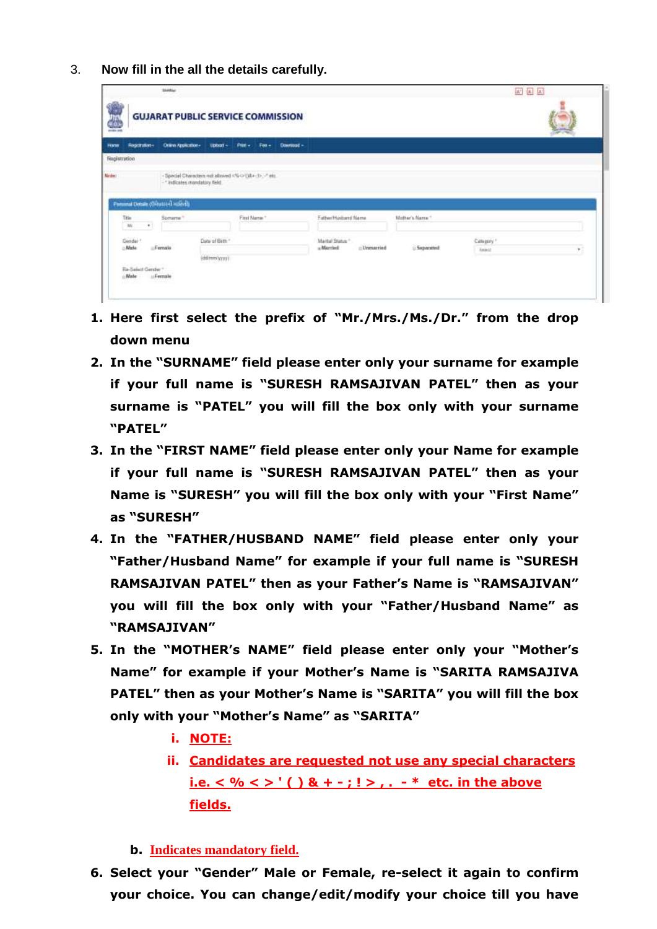3. **Now fill in the all the details carefully.**

| <b>Jin</b><br>make ant | <b>Station</b><br><b>GUJARAT PUBLIC SERVICE COMMISSION</b> |                                                                    |          |              |       |            |                     |                 | 同国国 |  |
|------------------------|------------------------------------------------------------|--------------------------------------------------------------------|----------|--------------|-------|------------|---------------------|-----------------|-----|--|
| <b>FRONTIE</b>         | Registration+                                              | Опите Арресатов-                                                   | приход + | Put -        | Fee + | Download - |                     |                 |     |  |
| Registration           |                                                            |                                                                    |          |              |       |            |                     |                 |     |  |
| Node:                  |                                                            | - " indicates mondatory field<br>Paramai Detain (Oristated scied); |          |              |       |            |                     |                 |     |  |
|                        | Title<br>$M$<br>$\bullet$ 1                                | Somerne **                                                         |          | First Name." |       |            | Father Husband Name | Mother's Name * |     |  |
|                        |                                                            |                                                                    |          |              |       |            |                     |                 |     |  |

- **1. Here first select the prefix of "Mr./Mrs./Ms./Dr." from the drop down menu**
- **2. In the "SURNAME" field please enter only your surname for example if your full name is "SURESH RAMSAJIVAN PATEL" then as your surname is "PATEL" you will fill the box only with your surname "PATEL"**
- **3. In the "FIRST NAME" field please enter only your Name for example if your full name is "SURESH RAMSAJIVAN PATEL" then as your Name is "SURESH" you will fill the box only with your "First Name" as "SURESH"**
- **4. In the "FATHER/HUSBAND NAME" field please enter only your "Father/Husband Name" for example if your full name is "SURESH RAMSAJIVAN PATEL" then as your Father's Name is "RAMSAJIVAN" you will fill the box only with your "Father/Husband Name" as "RAMSAJIVAN"**
- **5. In the "MOTHER's NAME" field please enter only your "Mother's Name" for example if your Mother's Name is "SARITA RAMSAJIVA PATEL" then as your Mother's Name is "SARITA" you will fill the box only with your "Mother's Name" as "SARITA"**
	- **i. NOTE:**
	- **ii. Candidates are requested not use any special characters i.e. < % < > ' ( ) & + - ; ! > , . - \* etc. in the above fields.**
	- **b. Indicates mandatory field.**
- **6. Select your "Gender" Male or Female, re-select it again to confirm your choice. You can change/edit/modify your choice till you have**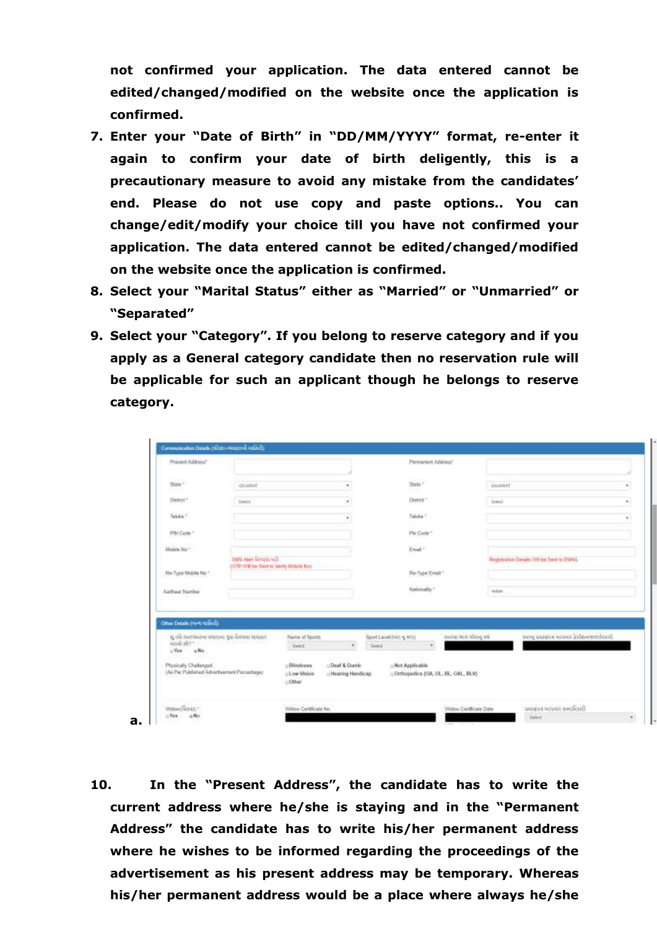**not confirmed your application. The data entered cannot be edited/changed/modified on the website once the application is confirmed.**

- **7. Enter your "Date of Birth" in "DD/MM/YYYY" format, re-enter it again to confirm your date of birth deligently, this is a precautionary measure to avoid any mistake from the candidates' end. Please do not use copy and paste options.. You can change/edit/modify your choice till you have not confirmed your application. The data entered cannot be edited/changed/modified on the website once the application is confirmed.**
- **8. Select your "Marital Status" either as "Married" or "Unmarried" or "Separated"**
- **9. Select your "Category". If you belong to reserve category and if you apply as a General category candidate then no reservation rule will be applicable for such an applicant though he belongs to reserve category.**

| Present Address"                                                                                                   |                                                                 |                                        |                                   | Permanent Address"                                   |                          |                                          |
|--------------------------------------------------------------------------------------------------------------------|-----------------------------------------------------------------|----------------------------------------|-----------------------------------|------------------------------------------------------|--------------------------|------------------------------------------|
| <b>SCALE</b><br>State"                                                                                             | <b>GUARAT</b>                                                   |                                        |                                   | <b>COMPANY</b><br>State *<br>16212                   | GUARAT                   |                                          |
| Dieblot *                                                                                                          | Tomat I                                                         |                                        | ٠                                 | District."                                           | THAC                     |                                          |
| Takka <sup>+</sup>                                                                                                 |                                                                 |                                        | ۰                                 | Talake *                                             |                          |                                          |
| PIN Code 1                                                                                                         |                                                                 |                                        |                                   | Fin Code *                                           |                          |                                          |
| Meklin Na **                                                                                                       |                                                                 |                                        |                                   | Ernal <sup>+</sup>                                   |                          |                                          |
| Re-Type Mobile No."                                                                                                | SMS Alert Hinggi MIT<br>(OTP Will be Sent to Verify Mobile No). |                                        |                                   | Re-Type-Ernal <sup>*</sup>                           |                          | Registration Details WA be Sent to EMAIL |
|                                                                                                                    |                                                                 |                                        |                                   |                                                      |                          |                                          |
|                                                                                                                    |                                                                 |                                        |                                   | Nationality *                                        | maker                    |                                          |
| Aidhear Nordser<br>के तमे स्थल प्रेमाना वामासन्त गुण्ड मैलववा आयंसत.<br>4H41+R77                                   |                                                                 | Name of Spects<br>Send:                | $\sim$                            | Sport Level Birt + Http<br><b>Sales</b><br>$\alpha$  | કમાવમાં ભાગ લીધાનું વર્ષ | twing usuanteed to suspend a rail        |
| Otter Details (New Hilfold)<br>o'Yes a No<br>Physically Challenged<br>(As Par Patifished Advertisement Percentage) |                                                                 | Blindness<br>Low Vision<br><b>LOSH</b> | Dasf & Durch<br>-Hearing Handicap | Not Applicable<br>Orthopotics (DA, OL, BL, OAL, BLV) |                          |                                          |

**10. In the "Present Address", the candidate has to write the current address where he/she is staying and in the "Permanent Address" the candidate has to write his/her permanent address where he wishes to be informed regarding the proceedings of the advertisement as his present address may be temporary. Whereas his/her permanent address would be a place where always he/she**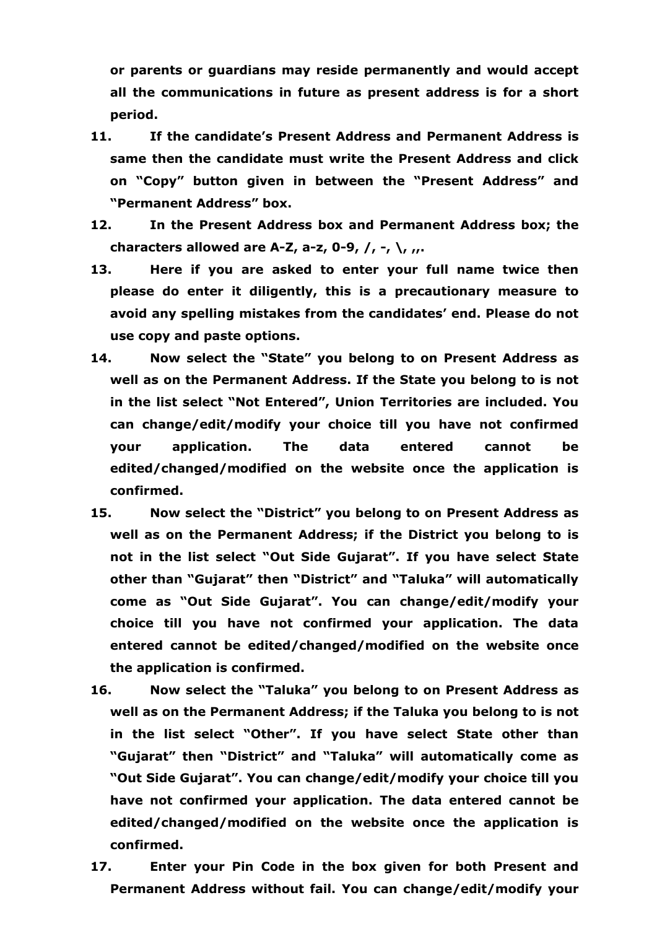**or parents or guardians may reside permanently and would accept all the communications in future as present address is for a short period.**

- **11. If the candidate's Present Address and Permanent Address is same then the candidate must write the Present Address and click on "Copy" button given in between the "Present Address" and "Permanent Address" box.**
- **12. In the Present Address box and Permanent Address box; the characters allowed are A-Z, a-z, 0-9, /, -, \, ,,.**
- **13. Here if you are asked to enter your full name twice then please do enter it diligently, this is a precautionary measure to avoid any spelling mistakes from the candidates' end. Please do not use copy and paste options.**
- **14. Now select the "State" you belong to on Present Address as well as on the Permanent Address. If the State you belong to is not in the list select "Not Entered", Union Territories are included. You can change/edit/modify your choice till you have not confirmed your application. The data entered cannot be edited/changed/modified on the website once the application is confirmed.**
- **15. Now select the "District" you belong to on Present Address as well as on the Permanent Address; if the District you belong to is not in the list select "Out Side Gujarat". If you have select State other than "Gujarat" then "District" and "Taluka" will automatically come as "Out Side Gujarat". You can change/edit/modify your choice till you have not confirmed your application. The data entered cannot be edited/changed/modified on the website once the application is confirmed.**
- **16. Now select the "Taluka" you belong to on Present Address as well as on the Permanent Address; if the Taluka you belong to is not in the list select "Other". If you have select State other than "Gujarat" then "District" and "Taluka" will automatically come as "Out Side Gujarat". You can change/edit/modify your choice till you have not confirmed your application. The data entered cannot be edited/changed/modified on the website once the application is confirmed.**
- **17. Enter your Pin Code in the box given for both Present and Permanent Address without fail. You can change/edit/modify your**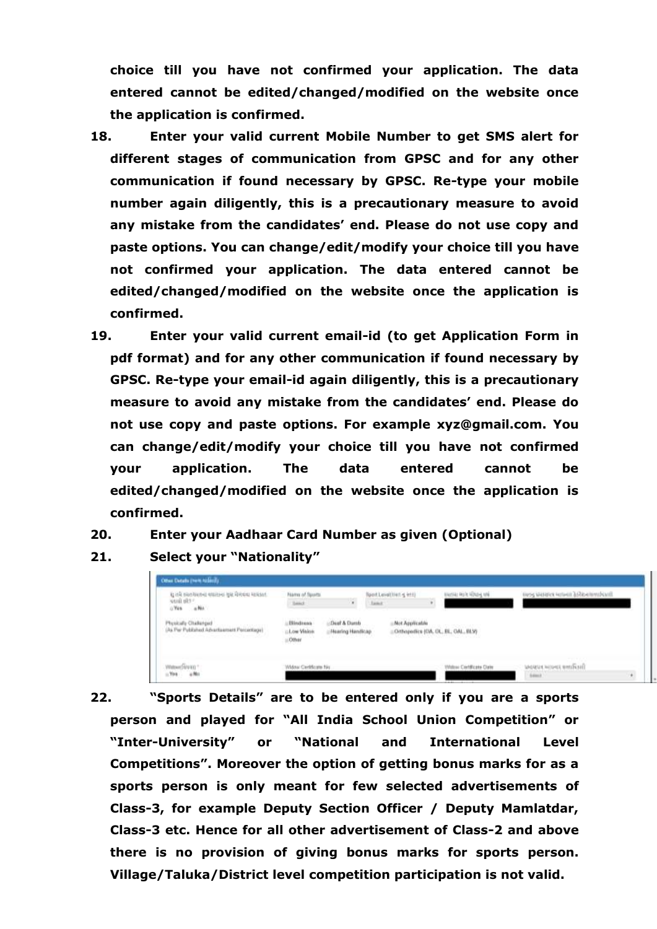**choice till you have not confirmed your application. The data entered cannot be edited/changed/modified on the website once the application is confirmed.**

- **18. Enter your valid current Mobile Number to get SMS alert for different stages of communication from GPSC and for any other communication if found necessary by GPSC. Re-type your mobile number again diligently, this is a precautionary measure to avoid any mistake from the candidates' end. Please do not use copy and paste options. You can change/edit/modify your choice till you have not confirmed your application. The data entered cannot be edited/changed/modified on the website once the application is confirmed.**
- **19. Enter your valid current email-id (to get Application Form in pdf format) and for any other communication if found necessary by GPSC. Re-type your email-id again diligently, this is a precautionary measure to avoid any mistake from the candidates' end. Please do not use copy and paste options. For example xyz@gmail.com. You can change/edit/modify your choice till you have not confirmed your application. The data entered cannot be edited/changed/modified on the website once the application is confirmed.**

## **20. Enter your Aadhaar Card Number as given (Optional)**

**21. Select your "Nationality"**

| Other Details (New Atlant)                                                                                            |                                        |                                                                               |                                                                                                         |                                |                                                      |    |
|-----------------------------------------------------------------------------------------------------------------------|----------------------------------------|-------------------------------------------------------------------------------|---------------------------------------------------------------------------------------------------------|--------------------------------|------------------------------------------------------|----|
| In the product of the control of the control<br>utril pits /<br>o'Ves a No.                                           | <b>Name of Sports</b><br><b>Send</b>   | a.                                                                            | Sport Level(1941 4, ett)                                                                                | traziazi multe riditatoj, uni- | Busiques School and an average and                   |    |
| .<br>Physically Challenged<br>スープ、あぶり、こちのこと<br>Published Advantagesets Percentage)<br><b>Controlled States States</b> | Bindress<br>Low Vision<br>Y ST<br>.000 | <b>Ousl &amp; Durch</b><br><b>Hearing Handkap</b><br>지금 살아가자 동생 사람들은 사람들이 많다. | Not Applicable<br>Orthopodics (OA, OL, BL, OAL, BLV)<br>M [20] 아니이 이 [20] 'L' 아니라" (1980) (2010) (1980) | <b>U. 1931 PANCOTA ATT</b>     |                                                      |    |
|                                                                                                                       | Cerificate No.                         |                                                                               |                                                                                                         | Volce: Certificate Oate        | <b>STATISTICS</b><br>Buzilime rances avail<br>S-most | ٠. |

**22. "Sports Details" are to be entered only if you are a sports person and played for "All India School Union Competition" or "Inter-University" or "National and International Level Competitions". Moreover the option of getting bonus marks for as a sports person is only meant for few selected advertisements of Class-3, for example Deputy Section Officer / Deputy Mamlatdar, Class-3 etc. Hence for all other advertisement of Class-2 and above there is no provision of giving bonus marks for sports person. Village/Taluka/District level competition participation is not valid.**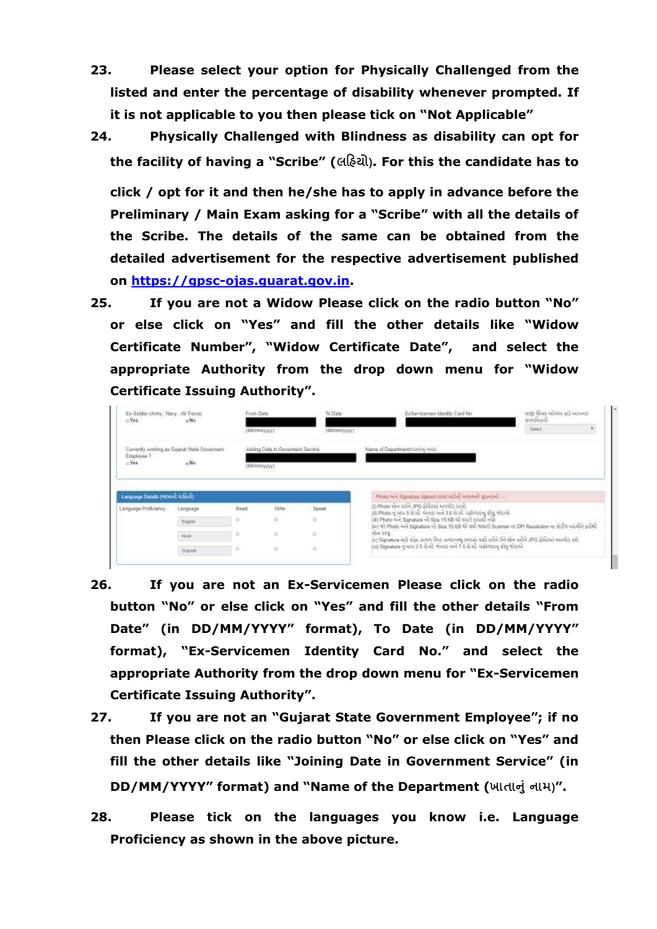- **23. Please select your option for Physically Challenged from the listed and enter the percentage of disability whenever prompted. If it is not applicable to you then please tick on "Not Applicable"**
- **24. Physically Challenged with Blindness as disability can opt for the facility of having a "Scribe" (લહિયો). For this the candidate has to**

**click / opt for it and then he/she has to apply in advance before the Preliminary / Main Exam asking for a "Scribe" with all the details of the Scribe. The details of the same can be obtained from the detailed advertisement for the respective advertisement published on [https://gpsc-ojas.guarat.gov.in.](https://gpsc-ojas.guarat.gov.in/)**

**25. If you are not a Widow Please click on the radio button "No" or else click on "Yes" and fill the other details like "Widow Certificate Number", "Widow Certificate Date", and select the appropriate Authority from the drop down menu for "Widow Certificate Issuing Authority".**

| Ex-Soldier (Airrey, Navy, Air Force)<br>$\oplus$ Yo s | $+$ No                                                         | From Data<br>ddmm/www |                                   | To Data<br>ddinm(ryy) | ExSanicemen Identity Card No.                                                                                                                                     | HOS HIMS HOUSE ALS NUMBER<br>Bieldmit<br><b>Send</b> |
|-------------------------------------------------------|----------------------------------------------------------------|-----------------------|-----------------------------------|-----------------------|-------------------------------------------------------------------------------------------------------------------------------------------------------------------|------------------------------------------------------|
| Employee ?<br>$= Yaxk$                                | Currently working as Gujarat State Doverment.<br>$\pm N\alpha$ | ddimmyyyy             | Joining Date in Gevernent Service |                       | Name of Department/viciting +140                                                                                                                                  |                                                      |
|                                                       |                                                                |                       |                                   |                       |                                                                                                                                                                   |                                                      |
|                                                       |                                                                |                       |                                   |                       | Photo Het Signature Uphrad 6891402ml national spiertiel                                                                                                           |                                                      |
|                                                       | Language                                                       | <b>Read</b>           | Writer                            | Speak.                | in Phone Her, SILL, JPG and House Study<br>ill Photo નું ધાપ 5 સે મી. પંખાઇ અને 16 સે મી. પહોંચાઇન હોવુ જોઇઓ.                                                     |                                                      |
| Language Databa (909)-È 416/83<br>Language Porkdetey  | <b>County</b>                                                  | 自                     | 富                                 | ×                     | illi Photo NH Signature +1 Size 15 KB NT 49th civial +10<br>(A) 11 Photo 4/4 Signature -3 Size 15.8% All coll 1994) Scormer-4 DPI Recolution -4 8:31 was@2 select |                                                      |
|                                                       | small.                                                         | ٠                     | 征                                 | ×                     | $+4 + 58$<br>. Bu climate incline DR. File, with File International processes and seven sells the enamely in                                                      |                                                      |

- **26. If you are not an Ex-Servicemen Please click on the radio button "No" or else click on "Yes" and fill the other details "From Date" (in DD/MM/YYYY" format), To Date (in DD/MM/YYYY" format), "Ex-Servicemen Identity Card No." and select the appropriate Authority from the drop down menu for "Ex-Servicemen Certificate Issuing Authority".**
- **27. If you are not an "Gujarat State Government Employee"; if no then Please click on the radio button "No" or else click on "Yes" and fill the other details like "Joining Date in Government Service" (in DD/MM/YYYY" format) and "Name of the Department (ખાતાનું નામ)".**
- **28. Please tick on the languages you know i.e. Language Proficiency as shown in the above picture.**